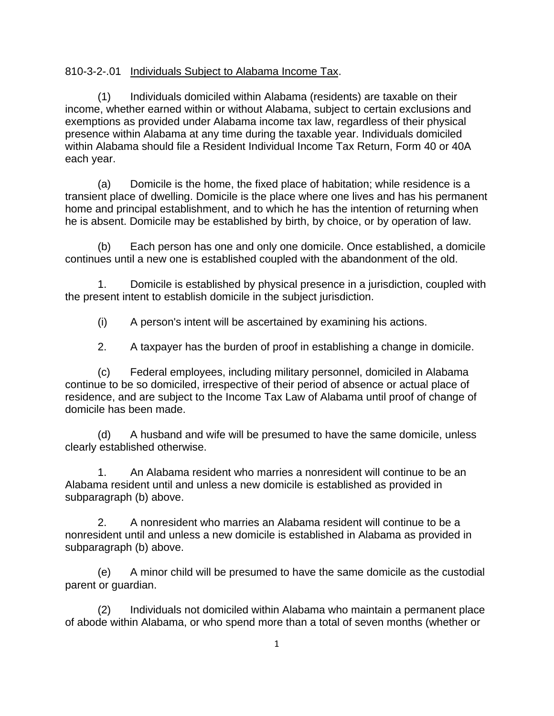## 810-3-2-.01 Individuals Subject to Alabama Income Tax.

 (1) Individuals domiciled within Alabama (residents) are taxable on their income, whether earned within or without Alabama, subject to certain exclusions and exemptions as provided under Alabama income tax law, regardless of their physical presence within Alabama at any time during the taxable year. Individuals domiciled within Alabama should file a Resident Individual Income Tax Return, Form 40 or 40A each year.

 (a) Domicile is the home, the fixed place of habitation; while residence is a transient place of dwelling. Domicile is the place where one lives and has his permanent home and principal establishment, and to which he has the intention of returning when he is absent. Domicile may be established by birth, by choice, or by operation of law.

 (b) Each person has one and only one domicile. Once established, a domicile continues until a new one is established coupled with the abandonment of the old.

 1. Domicile is established by physical presence in a jurisdiction, coupled with the present intent to establish domicile in the subject jurisdiction.

(i) A person's intent will be ascertained by examining his actions.

2. A taxpayer has the burden of proof in establishing a change in domicile.

 (c) Federal employees, including military personnel, domiciled in Alabama continue to be so domiciled, irrespective of their period of absence or actual place of residence, and are subject to the Income Tax Law of Alabama until proof of change of domicile has been made.

 (d) A husband and wife will be presumed to have the same domicile, unless clearly established otherwise.

 1. An Alabama resident who marries a nonresident will continue to be an Alabama resident until and unless a new domicile is established as provided in subparagraph (b) above.

 2. A nonresident who marries an Alabama resident will continue to be a nonresident until and unless a new domicile is established in Alabama as provided in subparagraph (b) above.

 (e) A minor child will be presumed to have the same domicile as the custodial parent or guardian.

 (2) Individuals not domiciled within Alabama who maintain a permanent place of abode within Alabama, or who spend more than a total of seven months (whether or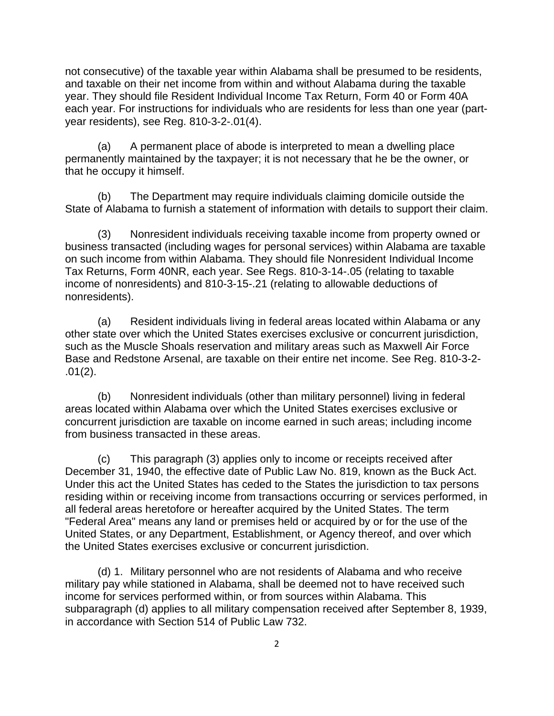not consecutive) of the taxable year within Alabama shall be presumed to be residents, and taxable on their net income from within and without Alabama during the taxable year. They should file Resident Individual Income Tax Return, Form 40 or Form 40A each year. For instructions for individuals who are residents for less than one year (partyear residents), see Reg. 810-3-2-.01(4).

 (a) A permanent place of abode is interpreted to mean a dwelling place permanently maintained by the taxpayer; it is not necessary that he be the owner, or that he occupy it himself.

 (b) The Department may require individuals claiming domicile outside the State of Alabama to furnish a statement of information with details to support their claim.

 (3) Nonresident individuals receiving taxable income from property owned or business transacted (including wages for personal services) within Alabama are taxable on such income from within Alabama. They should file Nonresident Individual Income Tax Returns, Form 40NR, each year. See Regs. 810-3-14-.05 (relating to taxable income of nonresidents) and 810-3-15-.21 (relating to allowable deductions of nonresidents).

 (a) Resident individuals living in federal areas located within Alabama or any other state over which the United States exercises exclusive or concurrent jurisdiction, such as the Muscle Shoals reservation and military areas such as Maxwell Air Force Base and Redstone Arsenal, are taxable on their entire net income. See Reg. 810-3-2- .01(2).

 (b) Nonresident individuals (other than military personnel) living in federal areas located within Alabama over which the United States exercises exclusive or concurrent jurisdiction are taxable on income earned in such areas; including income from business transacted in these areas.

 (c) This paragraph (3) applies only to income or receipts received after December 31, 1940, the effective date of Public Law No. 819, known as the Buck Act. Under this act the United States has ceded to the States the jurisdiction to tax persons residing within or receiving income from transactions occurring or services performed, in all federal areas heretofore or hereafter acquired by the United States. The term "Federal Area" means any land or premises held or acquired by or for the use of the United States, or any Department, Establishment, or Agency thereof, and over which the United States exercises exclusive or concurrent jurisdiction.

 (d) 1. Military personnel who are not residents of Alabama and who receive military pay while stationed in Alabama, shall be deemed not to have received such income for services performed within, or from sources within Alabama. This subparagraph (d) applies to all military compensation received after September 8, 1939, in accordance with Section 514 of Public Law 732.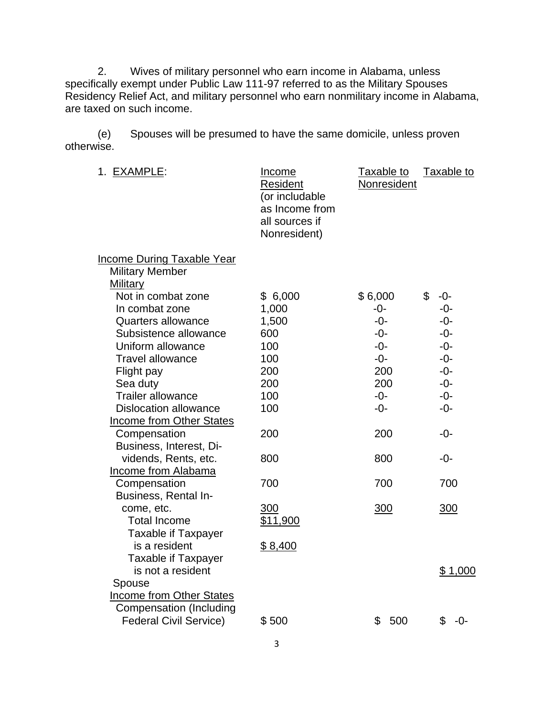2. Wives of military personnel who earn income in Alabama, unless specifically exempt under Public Law 111-97 referred to as the Military Spouses Residency Relief Act, and military personnel who earn nonmilitary income in Alabama, are taxed on such income.

 (e) Spouses will be presumed to have the same domicile, unless proven otherwise.

| 1. EXAMPLE:                                                                                                                                                                                                                                  | <u>Income</u><br>Resident<br>(or includable<br>as Income from<br>all sources if<br>Nonresident) | Taxable to<br>Nonresident                                                        | Taxable to                                                                                   |
|----------------------------------------------------------------------------------------------------------------------------------------------------------------------------------------------------------------------------------------------|-------------------------------------------------------------------------------------------------|----------------------------------------------------------------------------------|----------------------------------------------------------------------------------------------|
| <b>Income During Taxable Year</b><br><b>Military Member</b>                                                                                                                                                                                  |                                                                                                 |                                                                                  |                                                                                              |
| Military<br>Not in combat zone<br>In combat zone<br><b>Quarters allowance</b><br>Subsistence allowance<br>Uniform allowance<br><b>Travel allowance</b><br>Flight pay<br>Sea duty<br><b>Trailer allowance</b><br><b>Dislocation allowance</b> | \$6,000<br>1,000<br>1,500<br>600<br>100<br>100<br>200<br>200<br>100<br>100                      | \$6,000<br>$-0-$<br>$-0-$<br>$-0-$<br>$-0-$<br>-0-<br>200<br>200<br>$-0-$<br>-0- | \$<br>$-0-$<br>$-0-$<br>$-0-$<br>$-0-$<br>$-0-$<br>$-0-$<br>$-0-$<br>$-0-$<br>$-0-$<br>$-0-$ |
| <b>Income from Other States</b><br>Compensation                                                                                                                                                                                              | 200                                                                                             | 200                                                                              | $-0-$                                                                                        |
| Business, Interest, Di-<br>vidends, Rents, etc.<br>Income from Alabama                                                                                                                                                                       | 800                                                                                             | 800                                                                              | $-0-$                                                                                        |
| Compensation<br>Business, Rental In-                                                                                                                                                                                                         | 700                                                                                             | 700                                                                              | 700                                                                                          |
| come, etc.<br><b>Total Income</b><br><b>Taxable if Taxpayer</b>                                                                                                                                                                              | 300<br>\$11,900                                                                                 | 300                                                                              | 300                                                                                          |
| is a resident<br>Taxable if Taxpayer<br>is not a resident<br>Spouse<br>Income from Other States<br>Compensation (Including                                                                                                                   | \$8,400                                                                                         |                                                                                  | \$1,000                                                                                      |
| <b>Federal Civil Service)</b>                                                                                                                                                                                                                | \$500                                                                                           | \$<br>500                                                                        | \$<br>-0-                                                                                    |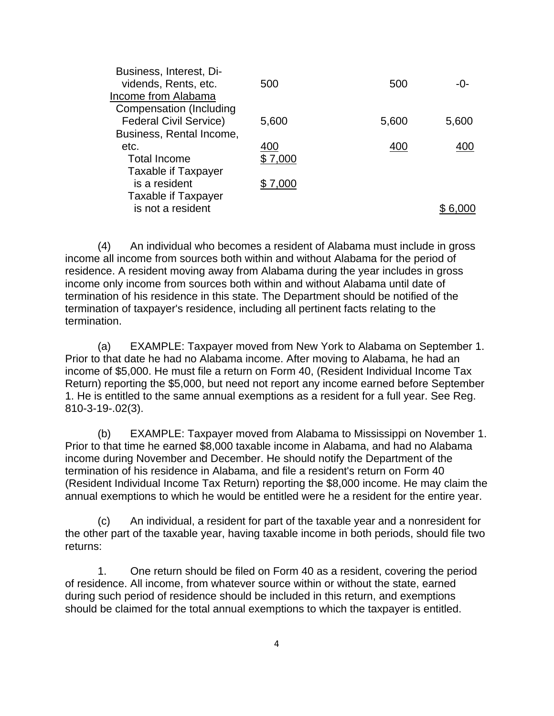| Business, Interest, Di-<br>vidends, Rents, etc.<br>Income from Alabama<br><b>Compensation (Including</b> | 500     | 500   | $-()$ |
|----------------------------------------------------------------------------------------------------------|---------|-------|-------|
| <b>Federal Civil Service)</b>                                                                            | 5,600   | 5,600 | 5,600 |
| Business, Rental Income,                                                                                 |         |       |       |
| etc.                                                                                                     | 400     | 40C   |       |
| <b>Total Income</b>                                                                                      | \$7,000 |       |       |
| Taxable if Taxpayer                                                                                      |         |       |       |
| is a resident                                                                                            | \$7,000 |       |       |
| Taxable if Taxpayer                                                                                      |         |       |       |
| is not a resident                                                                                        |         |       |       |
|                                                                                                          |         |       |       |

 (4) An individual who becomes a resident of Alabama must include in gross income all income from sources both within and without Alabama for the period of residence. A resident moving away from Alabama during the year includes in gross income only income from sources both within and without Alabama until date of termination of his residence in this state. The Department should be notified of the termination of taxpayer's residence, including all pertinent facts relating to the termination.

 (a) EXAMPLE: Taxpayer moved from New York to Alabama on September 1. Prior to that date he had no Alabama income. After moving to Alabama, he had an income of \$5,000. He must file a return on Form 40, (Resident Individual Income Tax Return) reporting the \$5,000, but need not report any income earned before September 1. He is entitled to the same annual exemptions as a resident for a full year. See Reg. 810-3-19-.02(3).

 (b) EXAMPLE: Taxpayer moved from Alabama to Mississippi on November 1. Prior to that time he earned \$8,000 taxable income in Alabama, and had no Alabama income during November and December. He should notify the Department of the termination of his residence in Alabama, and file a resident's return on Form 40 (Resident Individual Income Tax Return) reporting the \$8,000 income. He may claim the annual exemptions to which he would be entitled were he a resident for the entire year.

 (c) An individual, a resident for part of the taxable year and a nonresident for the other part of the taxable year, having taxable income in both periods, should file two returns:

 1. One return should be filed on Form 40 as a resident, covering the period of residence. All income, from whatever source within or without the state, earned during such period of residence should be included in this return, and exemptions should be claimed for the total annual exemptions to which the taxpayer is entitled.